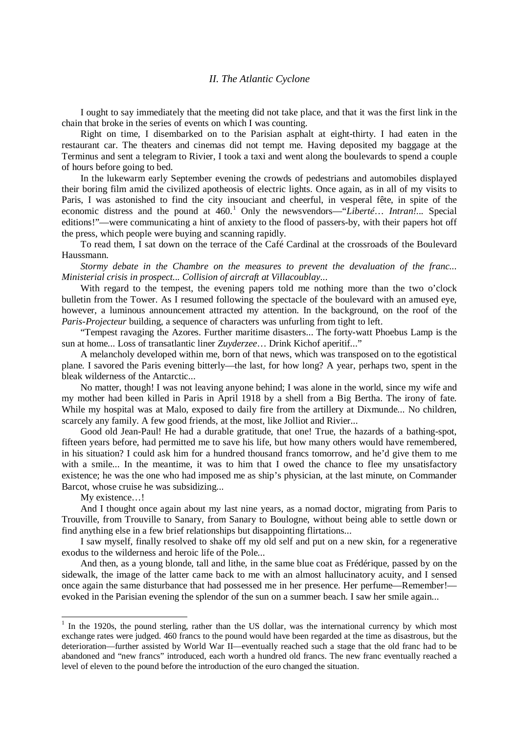## *II. The Atlantic Cyclone*

I ought to say immediately that the meeting did not take place, and that it was the first link in the chain that broke in the series of events on which I was counting.

Right on time, I disembarked on to the Parisian asphalt at eight-thirty. I had eaten in the restaurant car. The theaters and cinemas did not tempt me. Having deposited my baggage at the Terminus and sent a telegram to Rivier, I took a taxi and went along the boulevards to spend a couple of hours before going to bed.

In the lukewarm early September evening the crowds of pedestrians and automobiles displayed their boring film amid the civilized apotheosis of electric lights. Once again, as in all of my visits to Paris, I was astonished to find the city insouciant and cheerful, in vesperal fête, in spite of the economic distress and the pound at 460.<sup>[1](#page-0-0)</sup> Only the newsvendors—"*Liberté*... *Intran!*... Special editions!"—were communicating a hint of anxiety to the flood of passers-by, with their papers hot off the press, which people were buying and scanning rapidly.

To read them, I sat down on the terrace of the Café Cardinal at the crossroads of the Boulevard Haussmann.

*Stormy debate in the Chambre on the measures to prevent the devaluation of the franc... Ministerial crisis in prospect... Collision of aircraft at Villacoublay*...

With regard to the tempest, the evening papers told me nothing more than the two o'clock bulletin from the Tower. As I resumed following the spectacle of the boulevard with an amused eye, however, a luminous announcement attracted my attention. In the background, on the roof of the *Paris-Projecteur* building, a sequence of characters was unfurling from tight to left.

"Tempest ravaging the Azores. Further maritime disasters... The forty-watt Phoebus Lamp is the sun at home... Loss of transatlantic liner *Zuyderzee*… Drink Kichof aperitif..."

A melancholy developed within me, born of that news, which was transposed on to the egotistical plane. I savored the Paris evening bitterly—the last, for how long? A year, perhaps two, spent in the bleak wilderness of the Antarctic...

No matter, though! I was not leaving anyone behind; I was alone in the world, since my wife and my mother had been killed in Paris in April 1918 by a shell from a Big Bertha. The irony of fate. While my hospital was at Malo, exposed to daily fire from the artillery at Dixmunde... No children, scarcely any family. A few good friends, at the most, like Jolliot and Rivier...

Good old Jean-Paul! He had a durable gratitude, that one! True, the hazards of a bathing-spot, fifteen years before, had permitted me to save his life, but how many others would have remembered, in his situation? I could ask him for a hundred thousand francs tomorrow, and he'd give them to me with a smile... In the meantime, it was to him that I owed the chance to flee my unsatisfactory existence; he was the one who had imposed me as ship's physician, at the last minute, on Commander Barcot, whose cruise he was subsidizing...

My existence...!

And I thought once again about my last nine years, as a nomad doctor, migrating from Paris to Trouville, from Trouville to Sanary, from Sanary to Boulogne, without being able to settle down or find anything else in a few brief relationships but disappointing flirtations...

I saw myself, finally resolved to shake off my old self and put on a new skin, for a regenerative exodus to the wilderness and heroic life of the Pole...

And then, as a young blonde, tall and lithe, in the same blue coat as Frédérique, passed by on the sidewalk, the image of the latter came back to me with an almost hallucinatory acuity, and I sensed once again the same disturbance that had possessed me in her presence. Her perfume—Remember! evoked in the Parisian evening the splendor of the sun on a summer beach. I saw her smile again...

<span id="page-0-0"></span><sup>&</sup>lt;sup>1</sup> In the 1920s, the pound sterling, rather than the US dollar, was the international currency by which most exchange rates were judged. 460 francs to the pound would have been regarded at the time as disastrous, but the deterioration—further assisted by World War II—eventually reached such a stage that the old franc had to be abandoned and "new francs" introduced, each worth a hundred old francs. The new franc eventually reached a level of eleven to the pound before the introduction of the euro changed the situation.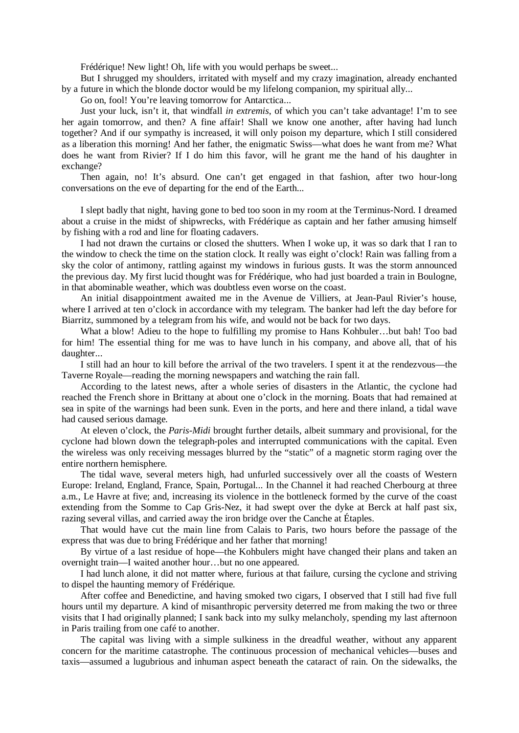Frédérique! New light! Oh, life with you would perhaps be sweet...

But I shrugged my shoulders, irritated with myself and my crazy imagination, already enchanted by a future in which the blonde doctor would be my lifelong companion, my spiritual ally...

Go on, fool! You're leaving tomorrow for Antarctica...

Just your luck, isn't it, that windfall *in extremis*, of which you can't take advantage! I'm to see her again tomorrow, and then? A fine affair! Shall we know one another, after having had lunch together? And if our sympathy is increased, it will only poison my departure, which I still considered as a liberation this morning! And her father, the enigmatic Swiss—what does he want from me? What does he want from Rivier? If I do him this favor, will he grant me the hand of his daughter in exchange?

Then again, no! It's absurd. One can't get engaged in that fashion, after two hour-long conversations on the eve of departing for the end of the Earth...

I slept badly that night, having gone to bed too soon in my room at the Terminus-Nord. I dreamed about a cruise in the midst of shipwrecks, with Frédérique as captain and her father amusing himself by fishing with a rod and line for floating cadavers.

I had not drawn the curtains or closed the shutters. When I woke up, it was so dark that I ran to the window to check the time on the station clock. It really was eight o'clock! Rain was falling from a sky the color of antimony, rattling against my windows in furious gusts. It was the storm announced the previous day. My first lucid thought was for Frédérique, who had just boarded a train in Boulogne, in that abominable weather, which was doubtless even worse on the coast.

An initial disappointment awaited me in the Avenue de Villiers, at Jean-Paul Rivier's house, where I arrived at ten o'clock in accordance with my telegram. The banker had left the day before for Biarritz, summoned by a telegram from his wife, and would not be back for two days.

What a blow! Adieu to the hope to fulfilling my promise to Hans Kohbuler…but bah! Too bad for him! The essential thing for me was to have lunch in his company, and above all, that of his daughter...

I still had an hour to kill before the arrival of the two travelers. I spent it at the rendezvous—the Taverne Royale—reading the morning newspapers and watching the rain fall.

According to the latest news, after a whole series of disasters in the Atlantic, the cyclone had reached the French shore in Brittany at about one o'clock in the morning. Boats that had remained at sea in spite of the warnings had been sunk. Even in the ports, and here and there inland, a tidal wave had caused serious damage.

At eleven o'clock, the *Paris-Midi* brought further details, albeit summary and provisional, for the cyclone had blown down the telegraph-poles and interrupted communications with the capital. Even the wireless was only receiving messages blurred by the "static" of a magnetic storm raging over the entire northern hemisphere.

The tidal wave, several meters high, had unfurled successively over all the coasts of Western Europe: Ireland, England, France, Spain, Portugal... In the Channel it had reached Cherbourg at three a.m., Le Havre at five; and, increasing its violence in the bottleneck formed by the curve of the coast extending from the Somme to Cap Gris-Nez, it had swept over the dyke at Berck at half past six, razing several villas, and carried away the iron bridge over the Canche at Étaples.

That would have cut the main line from Calais to Paris, two hours before the passage of the express that was due to bring Frédérique and her father that morning!

By virtue of a last residue of hope—the Kohbulers might have changed their plans and taken an overnight train—I waited another hour…but no one appeared.

I had lunch alone, it did not matter where, furious at that failure, cursing the cyclone and striving to dispel the haunting memory of Frédérique.

After coffee and Benedictine, and having smoked two cigars, I observed that I still had five full hours until my departure. A kind of misanthropic perversity deterred me from making the two or three visits that I had originally planned; I sank back into my sulky melancholy, spending my last afternoon in Paris trailing from one café to another.

The capital was living with a simple sulkiness in the dreadful weather, without any apparent concern for the maritime catastrophe. The continuous procession of mechanical vehicles—buses and taxis—assumed a lugubrious and inhuman aspect beneath the cataract of rain. On the sidewalks, the